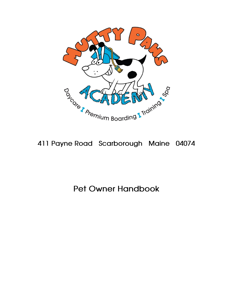

# **411 Payne Road Scarborough Maine 04074**

# **Pet Owner Handbook**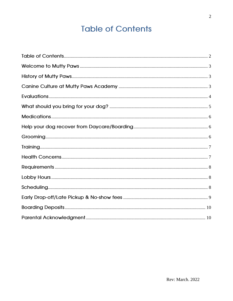# **Table of Contents**

<span id="page-1-0"></span>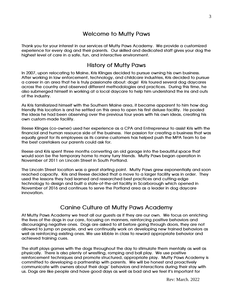## **Welcome to Mutty Paws**

<span id="page-2-1"></span><span id="page-2-0"></span>**Thank you for your interest in our services at Mutty Paws Academy. We provide a customized experience for every dog and their parents. Our skilled and dedicated staff gives your dog the highest level of care in a safe, fun, and interactive environment.** 

## **History of Mutty Paws**

**In 2007, upon relocating to Maine, Kris Klinges decided to pursue owning his own business. After working in law enforcement, technology, and childcare industries, Kris decided to pursue a career in an area that he is truly passionate about: dogs! Kris toured several dog daycares across the country and observed different methodologies and practices. During this time, he also submerged himself in working at a local daycare to help him understand the ins and outs of the industry.** 

**As Kris familiarized himself with the Southern Maine area, it became apparent to him how dog friendly this location is and he settled on this area to open his first deluxe facility. He pooled the ideas he had been observing over the previous four years with his own ideas, creating his own custom-made facility.** 

**Reese Klinges (co-owner) used her experience as a CPA and Entrepreneur to assist Kris with the financial and human resource side of the business. Her passion for creating a business that was equally great for its employees as its canine customers has helped push the MPA Team to be the best caretakers our parents could ask for.**

**Reese and Kris spent three months converting an old garage into the beautiful space that would soon be the temporary home to many furry friends. Mutty Paws began operation in November of 2011 on Lincoln Street in South Portland.** 

**The Lincoln Street location was a great starting point. Mutty Paws grew exponentially and soon reached capacity. Kris and Reese decided that a move to a larger facility was in order. They used the lessons they had learned and researched best practices and cutting-edge technology to design and built a state-of-the-art facility in Scarborough which opened in November of 2016 and continues to serve the Portland area as a leader in dog daycare innovation.**

## **Canine Culture at Mutty Paws Academy**

<span id="page-2-2"></span>**At Mutty Paws Academy we treat all our guests as if they are our own. We focus on enriching the lives of the dogs in our care, focusing on manners, reinforcing positive behaviors and discouraging negative ones. Dogs are asked to sit before going through doors, they are not allowed to jump on people, and we continually work on developing new trained behaviors as well as reinforcing existing ones. We use kibble in class to reward appropriate behavior and achieved training cues.**

**The staff plays games with the dogs throughout the day to stimulate them mentally as well as physically. There is also plenty of wrestling, romping and ball play. We use positive reinforcement techniques and promote structured, appropriate play. Mutty Paws Academy is committed to developing a partnership with parents. We will be honest and proactively communicate with owners about their dogs' behaviors and interactions during their stay with us. Dogs are like people and have good days as well as bad and we feel it's important for**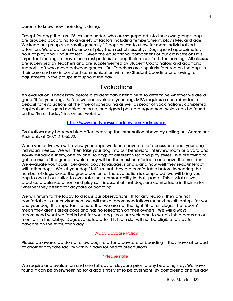**parents to know how their dog is doing.**

**Except for dogs that are 25 lbs. and under, who are segregated into their own groups, dogs are grouped according to a variety of factors including temperament, play style, and age. We keep our group sizes small, generally 12 dogs or less to allow for more individualized attention. We practice a balance of play then rest philosophy. Dogs spend approximately 1 hour at play and 1 hour at rest. Given the educational component of our class sessions it is important for dogs to have these rest periods to keep their minds fresh for learning. All classes are supervised by teachers and are supplemented by Student Coordinators and additional support staff who move between groups. Our Teachers are singularly focused on the dogs in their care and are in constant communication with the Student Coordinator allowing for adjustments in the groups throughout the day.**

### **Evaluations**

<span id="page-3-0"></span>**An evaluation is necessary before a student can attend MPA to determine whether we are a good fit for your dog. Before we can evaluate your dog, MPA requires a non-refundable deposit for evaluations at the time of scheduling as well as proof of vaccinations, completed application, a signed medical release, and signed pet care agreement which can be found on the 'Enroll Today' link on our website:** 

#### **<http://www.muttypawsacademy.com/admissions>**

**Evaluations may be scheduled after receiving the information above by calling our Admissions Assistants at (207) 210-6592.**

**When you arrive, we will review your paperwork and have a brief discussion about your dogs' individual needs. We will then take your dog into our behavioral interview room or a yard and slowly introduce them, one by one, to dogs of different sizes and play styles. We are trying to get a sense of the group in which they will be the most comfortable and have the most fun. We evaluate your dogs' behavior, body language, signals, and how well they read/interact with other dogs. We let your dog "tell" us that they are comfortable before increasing the number of dogs. Once the group portion of the evaluation is completed, we will bring your dog to one of our suites to evaluate their comfortability in that space. This is vital as we practice a balance of rest and play so it is essential that dogs are comfortable in their suites whether they attend for daycare or boarding.** 

**We will return to the lobby to discuss our observations. If for any reason, they are not comfortable in our environment we will make recommendations for next possible steps for you and your dog. It is important to note that we are not the right fit for all dogs. That doesn't mean they aren't great dogs and has no reflection on their owners. We will always recommend what we feel is best for your dog. You are welcome to watch this process on our monitors in the lobby. Dogs evaluated after 11:15am slot will not be eligible to stay for daycare on the evaluation day.** 

#### **7-Day Daycare Policy**

**Please be aware, we do not allow dogs to attend daycare or boarding if they have attended at another daycare facility within 7 days for health precautions.** 

#### **\*Please note\***

**We require and evaluation and one full day of daycare prior to any boarding stay. We have found it can be overwhelming for a dog's first visit to be overnight. By completing one full day**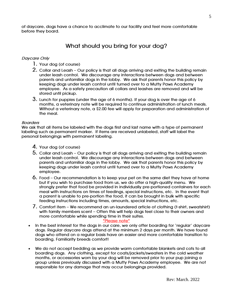<span id="page-4-0"></span>**of daycare, dogs have a chance to acclimate to our facility and feel more comfortable before they board.**

# **What should you bring for your dog?**

#### **Daycare Only**

- **1. Your dog (of course)**
- **2. Collar and Leash – Our policy is that all dogs arriving and exiting the building remain under leash control. We discourage any interactions between dogs and between parents and unfamiliar dogs in the lobby. We ask that parents honor this policy by keeping dogs under leash control until turned over to a Mutty Paws Academy employee. As a safety precaution all collars and leashes are removed and will be stored until pickup.**
- **3. Lunch for puppies (under the age of 6 months). If your dog is over the age of 6 months, a veterinary note will be required to continue administration of lunch meals. Without a veterinary note, a \$2.00 fee will apply for preparation and administration of the meal.**

#### **Boarders**

**We ask that all items be labeled with the dogs first and last name with a type of permanent labeling such as permanent marker. If items are received unlabeled, staff will label the personal belongings with permanent labeling.**

- **4. Your dog (of course)**
- **5. Collar and Leash – Our policy is that all dogs arriving and exiting the building remain under leash control. We discourage any interactions between dogs and between parents and unfamiliar dogs in the lobby. We ask that parents honor this policy by keeping dogs under leash control until turned over to a Mutty Paws Academy employee.**
- **6. Food – Our recommendation is to keep your pet on the same diet they have at home but if you wish to purchase food from us, we do offer a high-quality menu. We strongly prefer that food be provided in individually pre-portioned containers for each meal with instructions on times of feedings, special instructions, etc. In the event that a parent is unable to pre-portion the food, it can be brought in bulk with specific feeding instructions including times, amounts, special instructions, etc.**
- **7. Comfort item – We recommend an un-laundered article of clothing (t-shirt, sweatshirt) with family members scent – Often this will help dogs feel close to their owners and more comfortable while spending time in their suites.**

#### **\*Please note\***

- **In the best interest for the dogs in our care, we only offer boarding for 'regular' daycare dogs. Regular daycare dogs attend at the minimum 2 days per month. We have found dogs who attend on a regular basis have an easier and more comfortable transition to boarding. Familiarity breeds comfort!**
- **We do not accept bedding as we provide warm comfortable blankets and cots to all boarding dogs. Any clothing, except for coats/jackets/sweaters in the cold weather months, or accessories worn by your dog will be removed prior to your pup joining a group unless previously discussed with a Mutty Paws Academy employee. We are not responsible for any damage that may occur belongings provided.**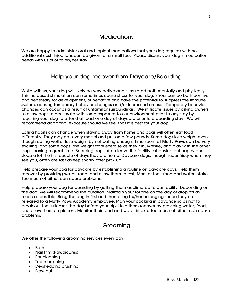# **Medications**

<span id="page-5-1"></span><span id="page-5-0"></span>**We are happy to administer oral and topical medications that your dog requires with no additional cost. Injections can be given for a small fee. Please discuss your dog's medication needs with us prior to his/her stay.**

# **Help your dog recover from Daycare/Boarding**

**While with us, your dog will likely be very active and stimulated both mentally and physically. This increased stimulation can sometimes cause stress for your dog. Stress can be both positive and necessary for development, or negative and have the potential to suppress the immune system, causing temporary behavior changes and/or increased arousal. Temporary behavior changes can occur as a result of unfamiliar surroundings. We mitigate issues by asking owners to allow dogs to acclimate with some exposure to our environment prior to any stay by requiring your dog to attend at least one day of daycare prior to a boarding stay. We will recommend additional exposure should we feel that it is best for your dog.** 

**Eating habits can change when staying away from home and dogs will often eat food differently. They may eat every morsel and put on a few pounds. Some dogs lose weight even though eating well or lose weight by not eating enough. Time spent at Mutty Paws can be very exciting, and some dogs lose weight from exercise as they run, wrestle, and play with the other dogs, having a great time. Boarding dogs often leave the facility exhausted but happy and sleep a lot the first couple of days they are home. Daycare dogs, though super frisky when they see you, often are fast asleep shortly after pick-up.**

**Help prepare your dog for daycare by establishing a routine on daycare days. Help them recover by providing water, food, and allow them to rest. Monitor their food and water intake. Too much of either can cause problems.**

**Help prepare your dog for boarding by getting them acclimated to our facility. Depending on the dog, we will recommend the duration. Maintain your routine on the day of drop off as much as possible. Bring the dog in first and then bring his/her belongings once they are released to a Mutty Paws Academy employee. Plan your packing in advance so as not to break out the suitcases the day before your trip. Help them recover by providing water, food, and allow them ample rest. Monitor their food and water intake. Too much of either can cause problems.**

# **Grooming**

<span id="page-5-2"></span>**We offer the following grooming services every day:**

- **Bath**
- **Nail trim (Pawdicures)**
- **Ear cleaning**
- **Tooth brushing**
- **De-shedding brushing**
- **Blow-out**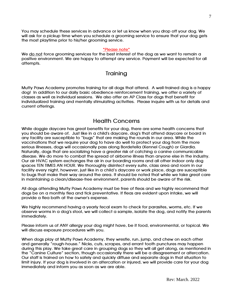**You may schedule these services in advance or let us know when you drop off your dog. We will ask for a pickup time when you schedule a grooming service to ensure that your dog gets the most playtime prior to his/her grooming service.**

#### **\*Please note\***

<span id="page-6-0"></span>**We do not force grooming services for the best interest of the dog as we want to remain a positive environment. We are happy to attempt any service. Payment will be expected for all attempts.** 

### **Training**

**Mutty Paws Academy promotes training for all dogs that attend. A well-trained dog is a happy dog! In addition to our daily basic obedience reinforcement training, we offer a variety of classes as well as individual sessions. We also offer an AP Class for dogs that benefit for individualized training and mentally stimulating activities. Please inquire with us for details and current offerings.** 

### **Health Concerns**

<span id="page-6-1"></span>**While doggie daycare has great benefits for your dog, there are some health concerns that you should be aware of. Just like in a child's daycare, dog's that attend daycare or board in any facility are susceptible to "bugs" that are making the rounds in our area. While the vaccinations that we require your dog to have do well to protect your dog from the more serious illnesses, dogs will occasionally pass along Bordetella (Kennel Cough) or Giardia. Naturally, dogs that are socializing have a greater risk of catching a canine communicable disease. We do more to combat the spread of airborne illness than anyone else in the industry. Our air HVAC system exchanges the air in our boarding rooms and all other indoor only dog spaces TEN TIMES AN HOUR. We thoroughly disinfect every suite, class area and room in our facility every night, however, just like in a child's daycare or work place, dogs are susceptible to bugs that make their way around the area. It should be noted that while we take great care in maintaining a clean/disease-free environment, parents should be aware of the risk.**

**All dogs attending Mutty Paws Academy must be free of fleas and we highly recommend that dogs be on a monthly flea and tick preventative. If fleas are evident upon intake, we will provide a flea bath at the owner's expense.**

**We highly recommend having a yearly fecal exam to check for parasites, worms, etc. If we observe worms in a dog's stool, we will collect a sample, isolate the dog, and notify the parents immediately.** 

**Please inform us of ANY allergy your dog might have, be it food, environmental, or topical. We will discuss exposure procedures with you.**

**When dogs play at Mutty Paws Academy, they wrestle, run, jump, and chew on each other and generally "rough-house." Nicks, cuts, scrapes, and errant tooth punctures may happen during this play. We take great care in grouping dogs so they will all get along, as mentioned in the "Canine Culture" section, though occasionally there will be a disagreement or altercation. Our staff is trained on how to safely and quickly diffuse and separate dogs in that situation to limit injury. If your dog is involved in an altercation or injured, we will provide care for your dog immediately and inform you as soon as we are able.**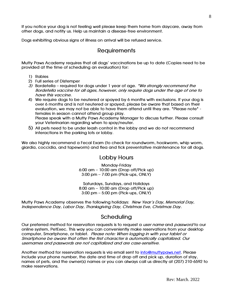**If you notice your dog is not feeling well please keep them home from daycare, away from other dogs, and notify us. Help us maintain a disease-free environment.**

<span id="page-7-0"></span>**Dogs exhibiting obvious signs of illness on arrival will be refused service.**

### **Requirements**

**Mutty Paws Academy requires that all dogs' vaccinations be up to date (Copies need to be provided at the time of scheduling an evaluation) for:**

- **1) Rabies**
- **2) Full series of Distemper**
- **3) Bordetella – required for dogs under 1 year of age. \*We strongly recommend the Bordetella vaccine for all ages, however, only require dogs under the age of one to have this vaccine.**
- **4) We require dogs to be neutered or spayed by 6 months with exclusions. If your dog is over 6 months and is not neutered or spayed, please be aware that based on their evaluation, we may not be able to have them attend until they are. \*Please note\* females in season cannot attend group play. Please speak with a Mutty Paws Academy Manager to discuss further. Please consult your Veterinarian regarding when to spay/neuter.**
- **5) All pets need to be under leash control in the lobby and we do not recommend interactions in the parking lots or lobby.**

<span id="page-7-1"></span>**We also highly recommend a Fecal Exam (to check for roundworm, hookworm, whip worm, giardia, coccidia, and tapeworm) and flea and tick preventative maintenance for all dogs.**

### **Lobby Hours**

**Monday-Friday 6:00 am – 10:00 am (Drop off/Pick up) 3:00 pm – 7:00 pm (Pick-ups, ONLY)**

**Saturdays, Sundays, and Holidays 8:00 am – 10:00 am (Drop off/Pick up) 3:00 pm – 5:00 pm (Pick-ups, ONLY)**

<span id="page-7-2"></span>**Mutty Paws Academy observes the following holidays: New Year's Day, Memorial Day, Independence Day, Labor Day, Thanksgiving Day, Christmas Eve, Christmas Day.**

### **Scheduling**

**Our preferred method for reservation requests is to request a user name and password to our online system, PetExec. This way you can conveniently make reservations from your desktop computer, Smartphone, or tablet. Please note: When logging in with your tablet or Smartphone be aware that often the first character is automatically capitalized. Our usernames and passwords are not capitalized and are case-sensitive.**

**Another method for reservation requests is via email sent to [info@muttypaws.net.](mailto:info@muttypaws.net) Please include your phone number, the date and time of drop off and pick up, duration of stay, names of pets, and the owner(s) names or you can always call us directly at (207) 210-6592 to make reservations.**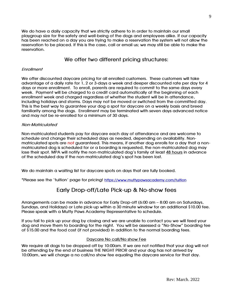**We do have a daily capacity that we strictly adhere to in order to maintain our small playgroup size for the safety and well-being of the dogs and employees alike. If our capacity has been reached on a day you are trying to make a reservation the system will not allow the reservation to be placed. If this is the case, call or email us; we may still be able to make the reservation.** 

### **We offer two different pricing structures:**

### **Enrollment**

**We offer discounted daycare pricing for all enrolled customers. These customers will take advantage of a daily rate for 1, 2 or 3-days a week and deeper discounted rate per day for 4 days or more enrollment. To enroll, parents are required to commit to the same days every week. Payment will be charged to a credit card automatically at the beginning of each enrollment week and charged regardless of whether the student will be in attendance, including holidays and storms. Days may not be moved or switched from the committed day. This is the best way to guarantee your dog a spot for daycare on a weekly basis and breed familiarity among the dogs. Enrollment may be terminated with seven days advanced notice and may not be re-enrolled for a minimum of 30 days.** 

### **Non-Matriculated**

**Non-matriculated students pay for daycare each day of attendance and are welcome to schedule and change their scheduled days as needed, depending on availability. Nonmatriculated spots are not guaranteed. This means, if another dog enrolls for a day that a nonmatriculated dog is scheduled for or a boarding is requested, the non-matriculated dog may lose their spot. MPA will notify the non-matriculated dog's family at least 48 hours in advance of the scheduled day if the non-matriculated dog's spot has been lost.** 

**We do maintain a waiting list for daycare spots on days that are fully booked.** 

<span id="page-8-0"></span>**\*Please see the 'tuition' page for pricing! <https://www.muttypawsacademy.com/tuition>**

# **Early Drop-off/Late Pick-up & No-show fees**

**Arrangements can be made in advance for Early Drop-off (6:00 am – 8:00 am on Saturdays, Sundays, and Holidays) or Late pick-up within a 30 minute window for an additional \$10.00 fee. Please speak with a Mutty Paws Academy Representative to schedule.** 

**If you fail to pick up your dog by closing and we are unable to contact you we will feed your dog and move them to boarding for the night. You will be assessed a "No-Show" boarding fee of \$15.00 and the food cost (if not provided) in addition to the normal boarding fees.** 

#### **Daycare No call/No show Fee**

**We require all dogs to be dropped off by 10:00am. If we are not notified that your dog will not be attending by the end of business THE NIGHT PRIOR and your dog has not arrived by 10:00am, we will charge a no call/no show fee equaling the daycare service for that day.**